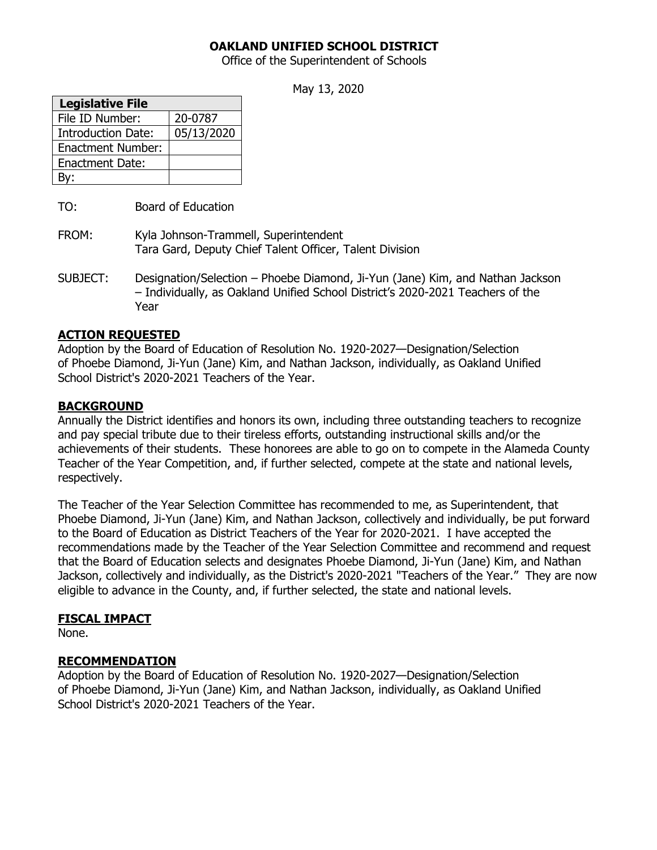## **OAKLAND UNIFIED SCHOOL DISTRICT**

Office of the Superintendent of Schools

May 13, 2020

| <b>Legislative File</b>   |            |
|---------------------------|------------|
| File ID Number:           | 20-0787    |
| <b>Introduction Date:</b> | 05/13/2020 |
| <b>Enactment Number:</b>  |            |
| <b>Enactment Date:</b>    |            |
|                           |            |

TO: Board of Education

- FROM: Kyla Johnson-Trammell, Superintendent Tara Gard, Deputy Chief Talent Officer, Talent Division
- SUBJECT: Designation/Selection Phoebe Diamond, Ji-Yun (Jane) Kim, and Nathan Jackson – Individually, as Oakland Unified School District's 2020-2021 Teachers of the Year

### **ACTION REQUESTED**

Adoption by the Board of Education of Resolution No. 1920-2027—Designation/Selection of Phoebe Diamond, Ji-Yun (Jane) Kim, and Nathan Jackson, individually, as Oakland Unified School District's 2020-2021 Teachers of the Year.

#### **BACKGROUND**

Annually the District identifies and honors its own, including three outstanding teachers to recognize and pay special tribute due to their tireless efforts, outstanding instructional skills and/or the achievements of their students. These honorees are able to go on to compete in the Alameda County Teacher of the Year Competition, and, if further selected, compete at the state and national levels, respectively.

The Teacher of the Year Selection Committee has recommended to me, as Superintendent, that Phoebe Diamond, Ji-Yun (Jane) Kim, and Nathan Jackson, collectively and individually, be put forward to the Board of Education as District Teachers of the Year for 2020-2021. I have accepted the recommendations made by the Teacher of the Year Selection Committee and recommend and request that the Board of Education selects and designates Phoebe Diamond, Ji-Yun (Jane) Kim, and Nathan Jackson, collectively and individually, as the District's 2020-2021 "Teachers of the Year." They are now eligible to advance in the County, and, if further selected, the state and national levels.

### **FISCAL IMPACT**

None.

### **RECOMMENDATION**

Adoption by the Board of Education of Resolution No. 1920-2027—Designation/Selection of Phoebe Diamond, Ji-Yun (Jane) Kim, and Nathan Jackson, individually, as Oakland Unified School District's 2020-2021 Teachers of the Year.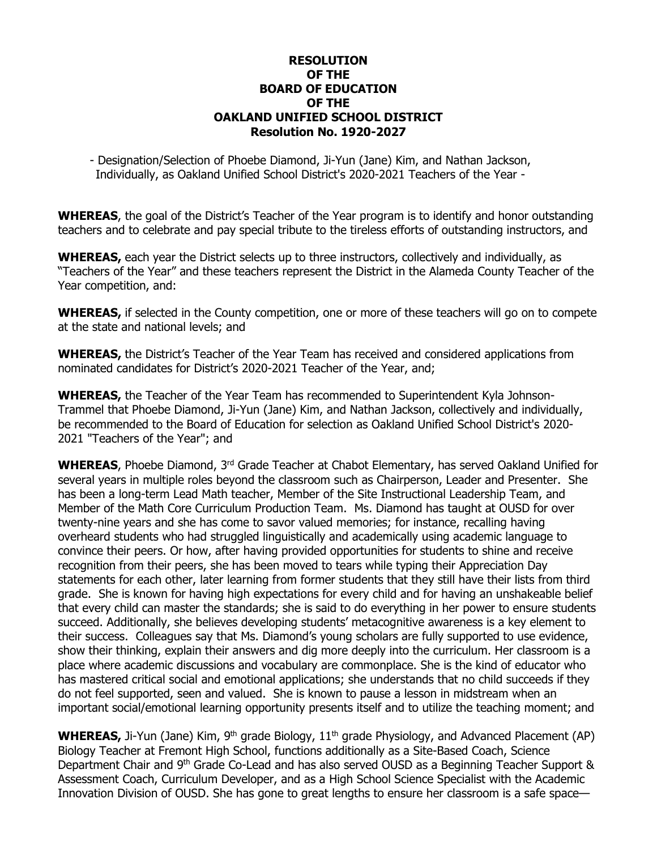### **RESOLUTION OF THE BOARD OF EDUCATION OF THE OAKLAND UNIFIED SCHOOL DISTRICT Resolution No. 1920-2027**

- Designation/Selection of Phoebe Diamond, Ji-Yun (Jane) Kim, and Nathan Jackson, Individually, as Oakland Unified School District's 2020-2021 Teachers of the Year -

**WHEREAS**, the goal of the District's Teacher of the Year program is to identify and honor outstanding teachers and to celebrate and pay special tribute to the tireless efforts of outstanding instructors, and

**WHEREAS,** each year the District selects up to three instructors, collectively and individually, as "Teachers of the Year" and these teachers represent the District in the Alameda County Teacher of the Year competition, and:

**WHEREAS,** if selected in the County competition, one or more of these teachers will go on to compete at the state and national levels; and

**WHEREAS,** the District's Teacher of the Year Team has received and considered applications from nominated candidates for District's 2020-2021 Teacher of the Year, and;

**WHEREAS,** the Teacher of the Year Team has recommended to Superintendent Kyla Johnson-Trammel that Phoebe Diamond, Ji-Yun (Jane) Kim, and Nathan Jackson, collectively and individually, be recommended to the Board of Education for selection as Oakland Unified School District's 2020- 2021 "Teachers of the Year"; and

WHEREAS, Phoebe Diamond, 3<sup>rd</sup> Grade Teacher at Chabot Elementary, has served Oakland Unified for several years in multiple roles beyond the classroom such as Chairperson, Leader and Presenter. She has been a long-term Lead Math teacher, Member of the Site Instructional Leadership Team, and Member of the Math Core Curriculum Production Team. Ms. Diamond has taught at OUSD for over twenty-nine years and she has come to savor valued memories; for instance, recalling having overheard students who had struggled linguistically and academically using academic language to convince their peers. Or how, after having provided opportunities for students to shine and receive recognition from their peers, she has been moved to tears while typing their Appreciation Day statements for each other, later learning from former students that they still have their lists from third grade. She is known for having high expectations for every child and for having an unshakeable belief that every child can master the standards; she is said to do everything in her power to ensure students succeed. Additionally, she believes developing students' metacognitive awareness is a key element to their success. Colleagues say that Ms. Diamond's young scholars are fully supported to use evidence, show their thinking, explain their answers and dig more deeply into the curriculum. Her classroom is a place where academic discussions and vocabulary are commonplace. She is the kind of educator who has mastered critical social and emotional applications; she understands that no child succeeds if they do not feel supported, seen and valued. She is known to pause a lesson in midstream when an important social/emotional learning opportunity presents itself and to utilize the teaching moment; and

**WHEREAS,** Ji-Yun (Jane) Kim, 9<sup>th</sup> grade Biology, 11<sup>th</sup> grade Physiology, and Advanced Placement (AP) Biology Teacher at Fremont High School, functions additionally as a Site-Based Coach, Science Department Chair and 9th Grade Co-Lead and has also served OUSD as a Beginning Teacher Support & Assessment Coach, Curriculum Developer, and as a High School Science Specialist with the Academic Innovation Division of OUSD. She has gone to great lengths to ensure her classroom is a safe space